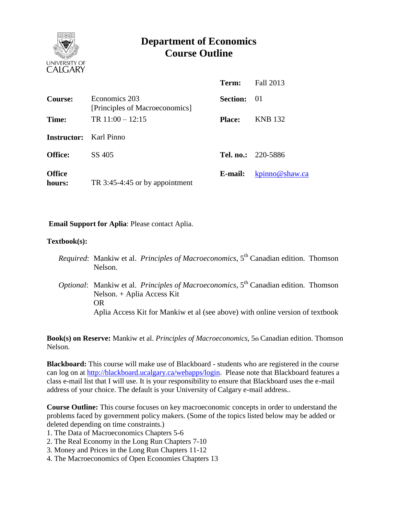

# **Department of Economics Course Outline**

|                               |                                                 | Term:              | Fall 2013                 |
|-------------------------------|-------------------------------------------------|--------------------|---------------------------|
| Course:                       | Economics 203<br>[Principles of Macroeconomics] | <b>Section:</b> 01 |                           |
| Time:                         | TR $11:00 - 12:15$                              | <b>Place:</b>      | <b>KNB</b> 132            |
| <b>Instructor:</b> Karl Pinno |                                                 |                    |                           |
| <b>Office:</b>                | SS 405                                          |                    | <b>Tel. no.:</b> 220-5886 |
| <b>Office</b><br>hours:       | TR 3:45-4:45 or by appointment                  | E-mail:            | kpinno@shaw.ca            |

**Email Support for Aplia**: Please contact Aplia.

#### **Textbook(s):**

- *Required*: Mankiw et al. *Principles of Macroeconomics*, 5<sup>th</sup> Canadian edition. Thomson Nelson.
- *Optional:* Mankiw et al. *Principles of Macroeconomics*, 5<sup>th</sup> Canadian edition. Thomson Nelson. + Aplia Access Kit OR Aplia Access Kit for Mankiw et al (see above) with online version of textbook

**Book(s) on Reserve:** Mankiw et al. *Principles of Macroeconomics*, 5th Canadian edition. Thomson Nelson.

**Blackboard:** This course will make use of Blackboard - students who are registered in the course can log on at [http://blackboard.ucalgary.ca/webapps/login.](http://blackboard.ucalgary.ca/webapps/login) Please note that Blackboard features a class e-mail list that I will use. It is your responsibility to ensure that Blackboard uses the e-mail address of your choice. The default is your University of Calgary e-mail address..

**Course Outline:** This course focuses on key macroeconomic concepts in order to understand the problems faced by government policy makers. (Some of the topics listed below may be added or deleted depending on time constraints.)

1. The Data of Macroeconomics Chapters 5-6

- 2. The Real Economy in the Long Run Chapters 7-10
- 3. Money and Prices in the Long Run Chapters 11-12
- 4. The Macroeconomics of Open Economies Chapters 13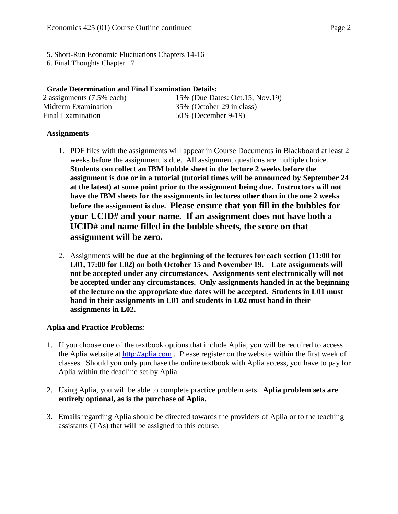5. Short-Run Economic Fluctuations Chapters 14-16

6. Final Thoughts Chapter 17

# **Grade Determination and Final Examination Details:**

| 2 assignments (7.5% each) | 15% (Due Dates: Oct.15, Nov.19) |
|---------------------------|---------------------------------|
| Midterm Examination       | 35% (October 29 in class)       |
| Final Examination         | 50% (December 9-19)             |

# **Assignments**

- 1. PDF files with the assignments will appear in Course Documents in Blackboard at least 2 weeks before the assignment is due. All assignment questions are multiple choice. **Students can collect an IBM bubble sheet in the lecture 2 weeks before the assignment is due or in a tutorial (tutorial times will be announced by September 24 at the latest) at some point prior to the assignment being due. Instructors will not have the IBM sheets for the assignments in lectures other than in the one 2 weeks before the assignment is due. Please ensure that you fill in the bubbles for your UCID# and your name. If an assignment does not have both a UCID# and name filled in the bubble sheets, the score on that assignment will be zero.**
- 2. Assignments **will be due at the beginning of the lectures for each section (11:00 for L01, 17:00 for L02) on both October 15 and November 19. Late assignments will not be accepted under any circumstances. Assignments sent electronically will not be accepted under any circumstances. Only assignments handed in at the beginning of the lecture on the appropriate due dates will be accepted. Students in L01 must hand in their assignments in L01 and students in L02 must hand in their assignments in L02.**

# **Aplia and Practice Problems***:*

- 1. If you choose one of the textbook options that include Aplia, you will be required to access the Aplia website at [http://aplia.com](http://aplia.com/) . Please register on the website within the first week of classes. Should you only purchase the online textbook with Aplia access, you have to pay for Aplia within the deadline set by Aplia.
- 2. Using Aplia, you will be able to complete practice problem sets. **Aplia problem sets are entirely optional, as is the purchase of Aplia.**
- 3. Emails regarding Aplia should be directed towards the providers of Aplia or to the teaching assistants (TAs) that will be assigned to this course.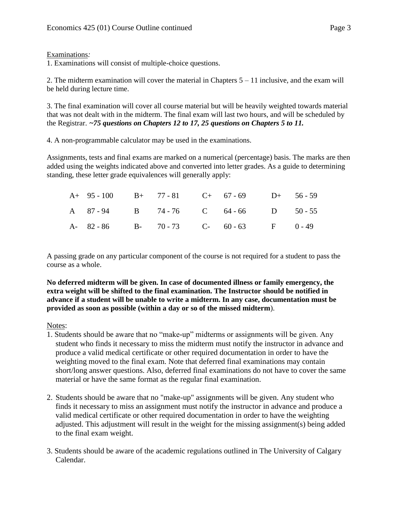### Examinations*:*

1. Examinations will consist of multiple-choice questions.

2. The midterm examination will cover the material in Chapters  $5 - 11$  inclusive, and the exam will be held during lecture time.

3. The final examination will cover all course material but will be heavily weighted towards material that was not dealt with in the midterm. The final exam will last two hours, and will be scheduled by the Registrar. *~75 questions on Chapters 12 to 17, 25 questions on Chapters 5 to 11.*

4. A non-programmable calculator may be used in the examinations.

Assignments, tests and final exams are marked on a numerical (percentage) basis. The marks are then added using the weights indicated above and converted into letter grades. As a guide to determining standing, these letter grade equivalences will generally apply:

|  |  | A+ 95 - 100 B+ 77 - 81 C+ 67 - 69 D+ 56 - 59 |  |
|--|--|----------------------------------------------|--|
|  |  | A 87-94 B 74-76 C 64-66 D 50-55              |  |
|  |  | A- 82-86 B- 70-73 C- 60-63 F 0-49            |  |

A passing grade on any particular component of the course is not required for a student to pass the course as a whole.

**No deferred midterm will be given. In case of documented illness or family emergency, the extra weight will be shifted to the final examination. The Instructor should be notified in advance if a student will be unable to write a midterm. In any case, documentation must be provided as soon as possible (within a day or so of the missed midterm**).

### Notes:

- 1. Students should be aware that no "make-up" midterms or assignments will be given. Any student who finds it necessary to miss the midterm must notify the instructor in advance and produce a valid medical certificate or other required documentation in order to have the weighting moved to the final exam. Note that deferred final examinations may contain short/long answer questions. Also, deferred final examinations do not have to cover the same material or have the same format as the regular final examination.
- 2. Students should be aware that no "make-up" assignments will be given. Any student who finds it necessary to miss an assignment must notify the instructor in advance and produce a valid medical certificate or other required documentation in order to have the weighting adjusted. This adjustment will result in the weight for the missing assignment(s) being added to the final exam weight.
- 3. Students should be aware of the academic regulations outlined in The University of Calgary Calendar.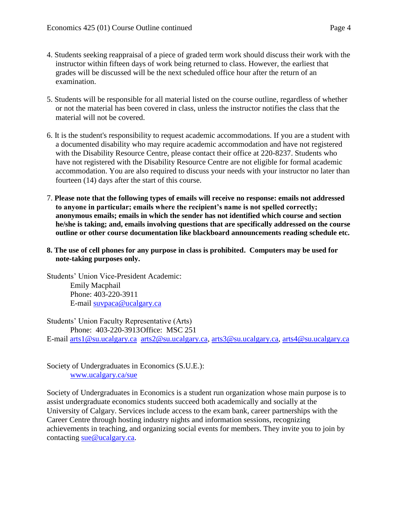- 4. Students seeking reappraisal of a piece of graded term work should discuss their work with the instructor within fifteen days of work being returned to class. However, the earliest that grades will be discussed will be the next scheduled office hour after the return of an examination.
- 5. Students will be responsible for all material listed on the course outline, regardless of whether or not the material has been covered in class, unless the instructor notifies the class that the material will not be covered.
- 6. It is the student's responsibility to request academic accommodations. If you are a student with a documented disability who may require academic accommodation and have not registered with the Disability Resource Centre, please contact their office at 220-8237. Students who have not registered with the Disability Resource Centre are not eligible for formal academic accommodation. You are also required to discuss your needs with your instructor no later than fourteen (14) days after the start of this course.
- 7. **Please note that the following types of emails will receive no response: emails not addressed to anyone in particular; emails where the recipient's name is not spelled correctly; anonymous emails; emails in which the sender has not identified which course and section he/she is taking; and, emails involving questions that are specifically addressed on the course outline or other course documentation like blackboard announcements reading schedule etc.**
- **8. The use of cell phones for any purpose in class is prohibited. Computers may be used for note-taking purposes only.**

Students' Union Vice-President Academic: Emily Macphail Phone: 403-220-3911 E-mail [suvpaca@ucalgary.ca](mailto:subpaca@ucalgary.ca)

Students' Union Faculty Representative (Arts) Phone: 403-220-3913Office: MSC 251

E-mail [arts1@su.ucalgary.ca](mailto:arts1@su.ucalgary.ca) [arts2@su.ucalgary.ca,](mailto:arts2@su.ucalgary.ca) [arts3@su.ucalgary.ca,](mailto:arts3@su.ucalgary.ca) [arts4@su.ucalgary.ca](mailto:arts4@su.ucalgary.ca)

Society of Undergraduates in Economics (S.U.E.): [www.ucalgary.ca/sue](http://www.fp.ucalgary.ca/econ)

Society of Undergraduates in Economics is a student run organization whose main purpose is to assist undergraduate economics students succeed both academically and socially at the University of Calgary. Services include access to the exam bank, career partnerships with the Career Centre through hosting industry nights and information sessions, recognizing achievements in teaching, and organizing social events for members. They invite you to join by contacting [sue@ucalgary.ca.](mailto:sue@ucalgary.ca)